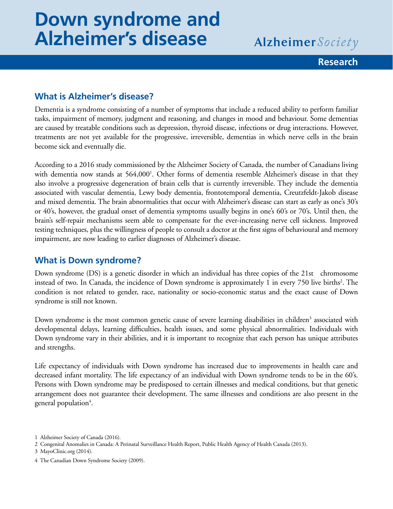# **Down syndrome and Alzheimer's disease**

Alzheimer Society

#### **Research**

## **What is Alzheimer's disease?**

Dementia is a syndrome consisting of a number of symptoms that include a reduced ability to perform familiar tasks, impairment of memory, judgment and reasoning, and changes in mood and behaviour. Some dementias are caused by treatable conditions such as depression, thyroid disease, infections or drug interactions. However, treatments are not yet available for the progressive, irreversible, dementias in which nerve cells in the brain become sick and eventually die.

According to a 2016 study commissioned by the Alzheimer Society of Canada, the number of Canadians living with dementia now stands at 564,000<sup>1</sup>. Other forms of dementia resemble Alzheimer's disease in that they also involve a progressive degeneration of brain cells that is currently irreversible. They include the dementia associated with vascular dementia, Lewy body dementia, frontotemporal dementia, Creutzfeldt-Jakob disease and mixed dementia. The brain abnormalities that occur with Alzheimer's disease can start as early as one's 30's or 40's, however, the gradual onset of dementia symptoms usually begins in one's 60's or 70's. Until then, the brain's self-repair mechanisms seem able to compensate for the ever-increasing nerve cell sickness. Improved testing techniques, plus the willingness of people to consult a doctor at the first signs of behavioural and memory impairment, are now leading to earlier diagnoses of Alzheimer's disease.

## **What is Down syndrome?**

Down syndrome (DS) is a genetic disorder in which an individual has three copies of the 21st chromosome instead of two. In Canada, the incidence of Down syndrome is approximately 1 in every 750 live births<sup>2</sup>. The condition is not related to gender, race, nationality or socio-economic status and the exact cause of Down syndrome is still not known.

Down syndrome is the most common genetic cause of severe learning disabilities in children<sup>3</sup> associated with developmental delays, learning difficulties, health issues, and some physical abnormalities. Individuals with Down syndrome vary in their abilities, and it is important to recognize that each person has unique attributes and strengths.

Life expectancy of individuals with Down syndrome has increased due to improvements in health care and decreased infant mortality. The life expectancy of an individual with Down syndrome tends to be in the 60's. Persons with Down syndrome may be predisposed to certain illnesses and medical conditions, but that genetic arrangement does not guarantee their development. The same illnesses and conditions are also present in the general population<sup>4</sup>.

<sup>1</sup> Alzheimer Society of Canada (2016).

<sup>2</sup> Congenital Anomalies in Canada: A Perinatal Surveillance Health Report, Public Health Agency of Health Canada (2013).

<sup>3</sup> MayoClinic.org (2014).

<sup>4</sup> The Canadian Down Syndrome Society (2009).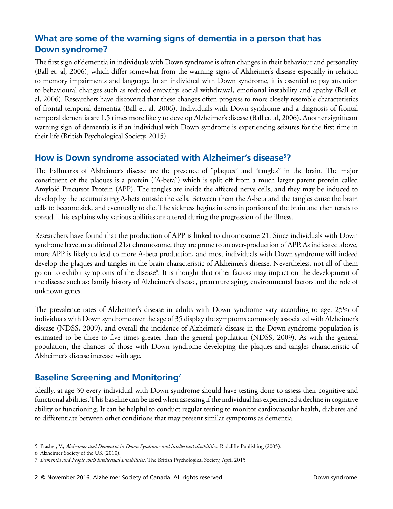# **What are some of the warning signs of dementia in a person that has Down syndrome?**

The first sign of dementia in individuals with Down syndrome is often changes in their behaviour and personality (Ball et. al, 2006), which differ somewhat from the warning signs of Alzheimer's disease especially in relation to memory impairments and language. In an individual with Down syndrome, it is essential to pay attention to behavioural changes such as reduced empathy, social withdrawal, emotional instability and apathy (Ball et. al, 2006). Researchers have discovered that these changes often progress to more closely resemble characteristics of frontal temporal dementia (Ball et. al, 2006). Individuals with Down syndrome and a diagnosis of frontal temporal dementia are 1.5 times more likely to develop Alzheimer's disease (Ball et. al, 2006). Another significant warning sign of dementia is if an individual with Down syndrome is experiencing seizures for the first time in their life (British Psychological Society, 2015).

## **How is Down syndrome associated with Alzheimer's disease5?**

The hallmarks of Alzheimer's disease are the presence of "plaques" and "tangles" in the brain. The major constituent of the plaques is a protein ("A-beta") which is split off from a much larger parent protein called Amyloid Precursor Protein (APP). The tangles are inside the affected nerve cells, and they may be induced to develop by the accumulating A-beta outside the cells. Between them the A-beta and the tangles cause the brain cells to become sick, and eventually to die. The sickness begins in certain portions of the brain and then tends to spread. This explains why various abilities are altered during the progression of the illness.

Researchers have found that the production of APP is linked to chromosome 21. Since individuals with Down syndrome have an additional 21st chromosome, they are prone to an over-production of APP. As indicated above, more APP is likely to lead to more A-beta production, and most individuals with Down syndrome will indeed develop the plaques and tangles in the brain characteristic of Alzheimer's disease. Nevertheless, not all of them go on to exhibit symptoms of the disease<sup>6</sup>. It is thought that other factors may impact on the development of the disease such as: family history of Alzheimer's disease, premature aging, environmental factors and the role of unknown genes.

The prevalence rates of Alzheimer's disease in adults with Down syndrome vary according to age. 25% of individuals with Down syndrome over the age of 35 display the symptoms commonly associated with Alzheimer's disease (NDSS, 2009), and overall the incidence of Alzheimer's disease in the Down syndrome population is estimated to be three to five times greater than the general population (NDSS, 2009). As with the general population, the chances of those with Down syndrome developing the plaques and tangles characteristic of Alzheimer's disease increase with age.

# **Baseline Screening and Monitoring7**

Ideally, at age 30 every individual with Down syndrome should have testing done to assess their cognitive and functional abilities. This baseline can be used when assessing if the individual has experienced a decline in cognitive ability or functioning. It can be helpful to conduct regular testing to monitor cardiovascular health, diabetes and to differentiate between other conditions that may present similar symptoms as dementia.

<sup>5</sup> Prasher, V., *Alzheimer and Dementia in Down Syndrome and intellectual disabilities.* Radcliffe Publishing (2005).

<sup>6</sup> Alzheimer Society of the UK (2010).

<sup>7</sup> *Dementia and People with Intellectual Disabilities,* The British Psychological Society, April 2015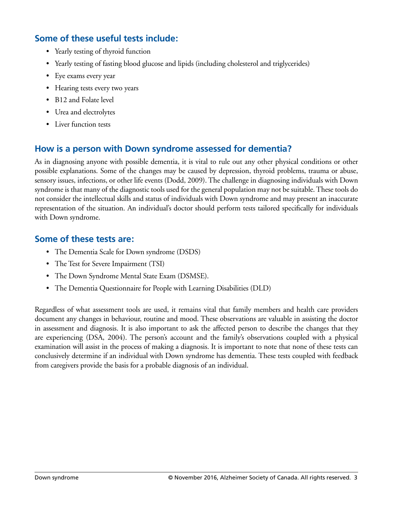# **Some of these useful tests include:**

- • Yearly testing of thyroid function
- Yearly testing of fasting blood glucose and lipids (including cholesterol and triglycerides)
- • Eye exams every year
- Hearing tests every two years
- B12 and Folate level
- Urea and electrolytes
- Liver function tests

# **How is a person with Down syndrome assessed for dementia?**

As in diagnosing anyone with possible dementia, it is vital to rule out any other physical conditions or other possible explanations. Some of the changes may be caused by depression, thyroid problems, trauma or abuse, sensory issues, infections, or other life events (Dodd, 2009). The challenge in diagnosing individuals with Down syndrome is that many of the diagnostic tools used for the general population may not be suitable. These tools do not consider the intellectual skills and status of individuals with Down syndrome and may present an inaccurate representation of the situation. An individual's doctor should perform tests tailored specifically for individuals with Down syndrome.

## **Some of these tests are:**

- The Dementia Scale for Down syndrome (DSDS)
- The Test for Severe Impairment (TSI)
- The Down Syndrome Mental State Exam (DSMSE).
- The Dementia Questionnaire for People with Learning Disabilities (DLD)

Regardless of what assessment tools are used, it remains vital that family members and health care providers document any changes in behaviour, routine and mood. These observations are valuable in assisting the doctor in assessment and diagnosis. It is also important to ask the affected person to describe the changes that they are experiencing (DSA, 2004). The person's account and the family's observations coupled with a physical examination will assist in the process of making a diagnosis. It is important to note that none of these tests can conclusively determine if an individual with Down syndrome has dementia. These tests coupled with feedback from caregivers provide the basis for a probable diagnosis of an individual.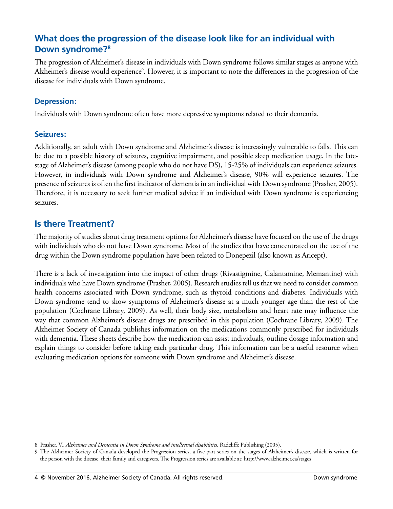# **What does the progression of the disease look like for an individual with Down syndrome?8**

The progression of Alzheimer's disease in individuals with Down syndrome follows similar stages as anyone with Alzheimer's disease would experience<sup>9</sup>. However, it is important to note the differences in the progression of the disease for individuals with Down syndrome.

#### **Depression:**

Individuals with Down syndrome often have more depressive symptoms related to their dementia.

#### **Seizures:**

Additionally, an adult with Down syndrome and Alzheimer's disease is increasingly vulnerable to falls. This can be due to a possible history of seizures, cognitive impairment, and possible sleep medication usage. In the latestage of Alzheimer's disease (among people who do not have DS), 15-25% of individuals can experience seizures. However, in individuals with Down syndrome and Alzheimer's disease, 90% will experience seizures. The presence of seizures is often the first indicator of dementia in an individual with Down syndrome (Prasher, 2005). Therefore, it is necessary to seek further medical advice if an individual with Down syndrome is experiencing seizures.

## **Is there Treatment?**

The majority of studies about drug treatment options for Alzheimer's disease have focused on the use of the drugs with individuals who do not have Down syndrome. Most of the studies that have concentrated on the use of the drug within the Down syndrome population have been related to Donepezil (also known as Aricept).

There is a lack of investigation into the impact of other drugs (Rivastigmine, Galantamine, Memantine) with individuals who have Down syndrome (Prasher, 2005). Research studies tell us that we need to consider common health concerns associated with Down syndrome, such as thyroid conditions and diabetes. Individuals with Down syndrome tend to show symptoms of Alzheimer's disease at a much younger age than the rest of the population (Cochrane Library, 2009). As well, their body size, metabolism and heart rate may influence the way that common Alzheimer's disease drugs are prescribed in this population (Cochrane Library, 2009). The Alzheimer Society of Canada publishes information on the medications commonly prescribed for individuals with dementia. These sheets describe how the medication can assist individuals, outline dosage information and explain things to consider before taking each particular drug. This information can be a useful resource when evaluating medication options for someone with Down syndrome and Alzheimer's disease.

<sup>8</sup> Prasher, V., *Alzheimer and Dementia in Down Syndrome and intellectual disabilities*. Radcliffe Publishing (2005).

<sup>9</sup> The Alzheimer Society of Canada developed the Progression series, a five-part series on the stages of Alzheimer's disease, which is written for the person with the disease, their family and caregivers. The Progression series are available at: http://www.alzheimer.ca/stages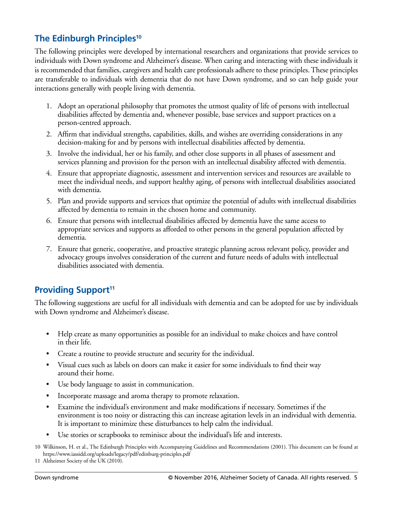# **The Edinburgh Principles10**

The following principles were developed by international researchers and organizations that provide services to individuals with Down syndrome and Alzheimer's disease. When caring and interacting with these individuals it is recommended that families, caregivers and health care professionals adhere to these principles. These principles are transferable to individuals with dementia that do not have Down syndrome, and so can help guide your interactions generally with people living with dementia.

- 1. Adopt an operational philosophy that promotes the utmost quality of life of persons with intellectual disabilities affected by dementia and, whenever possible, base services and support practices on a person-centred approach.
- 2. Affirm that individual strengths, capabilities, skills, and wishes are overriding considerations in any decision-making for and by persons with intellectual disabilities affected by dementia.
- 3. Involve the individual, her or his family, and other close supports in all phases of assessment and services planning and provision for the person with an intellectual disability affected with dementia.
- 4. Ensure that appropriate diagnostic, assessment and intervention services and resources are available to meet the individual needs, and support healthy aging, of persons with intellectual disabilities associated with dementia.
- 5. Plan and provide supports and services that optimize the potential of adults with intellectual disabilities affected by dementia to remain in the chosen home and community.
- 6. Ensure that persons with intellectual disabilities affected by dementia have the same access to appropriate services and supports as afforded to other persons in the general population affected by dementia.
- 7. Ensure that generic, cooperative, and proactive strategic planning across relevant policy, provider and advocacy groups involves consideration of the current and future needs of adults with intellectual disabilities associated with dementia.

## **Providing Support<sup>11</sup>**

The following suggestions are useful for all individuals with dementia and can be adopted for use by individuals with Down syndrome and Alzheimer's disease.

- Help create as many opportunities as possible for an individual to make choices and have control in their life.
- Create a routine to provide structure and security for the individual.
- Visual cues such as labels on doors can make it easier for some individuals to find their way around their home.
- Use body language to assist in communication.
- Incorporate massage and aroma therapy to promote relaxation.
- Examine the individual's environment and make modifications if necessary. Sometimes if the environment is too noisy or distracting this can increase agitation levels in an individual with dementia. It is important to minimize these disturbances to help calm the individual.
- Use stories or scrapbooks to reminisce about the individual's life and interests.

<sup>10</sup> Wilkinson, H. et al., The Edinburgh Principles with Accompanying Guidelines and Recommendations (2001). This document can be found at https://www.iassidd.org/uploads/legacy/pdf/edinburg-principles.pdf

<sup>11</sup> Alzheimer Society of the UK (2010).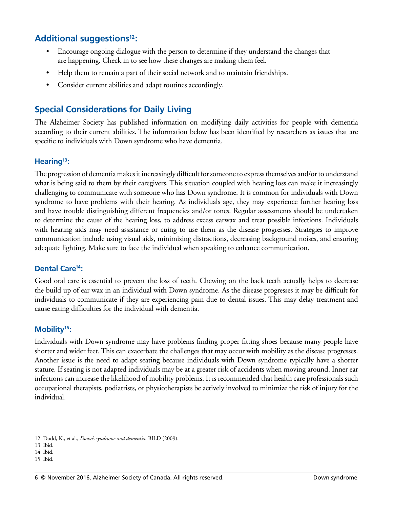# **Additional suggestions12:**

- Encourage ongoing dialogue with the person to determine if they understand the changes that are happening. Check in to see how these changes are making them feel.
- Help them to remain a part of their social network and to maintain friendships.
- Consider current abilities and adapt routines accordingly.

# **Special Considerations for Daily Living**

The Alzheimer Society has published information on modifying daily activities for people with dementia according to their current abilities. The information below has been identified by researchers as issues that are specific to individuals with Down syndrome who have dementia.

#### **Hearing13:**

The progression of dementia makes it increasingly difficult for someone to express themselves and/or to understand what is being said to them by their caregivers. This situation coupled with hearing loss can make it increasingly challenging to communicate with someone who has Down syndrome. It is common for individuals with Down syndrome to have problems with their hearing. As individuals age, they may experience further hearing loss and have trouble distinguishing different frequencies and/or tones. Regular assessments should be undertaken to determine the cause of the hearing loss, to address excess earwax and treat possible infections. Individuals with hearing aids may need assistance or cuing to use them as the disease progresses. Strategies to improve communication include using visual aids, minimizing distractions, decreasing background noises, and ensuring adequate lighting. Make sure to face the individual when speaking to enhance communication.

#### **Dental Care14:**

Good oral care is essential to prevent the loss of teeth. Chewing on the back teeth actually helps to decrease the build up of ear wax in an individual with Down syndrome. As the disease progresses it may be difficult for individuals to communicate if they are experiencing pain due to dental issues. This may delay treatment and cause eating difficulties for the individual with dementia.

#### **Mobility15:**

Individuals with Down syndrome may have problems finding proper fitting shoes because many people have shorter and wider feet. This can exacerbate the challenges that may occur with mobility as the disease progresses. Another issue is the need to adapt seating because individuals with Down syndrome typically have a shorter stature. If seating is not adapted individuals may be at a greater risk of accidents when moving around. Inner ear infections can increase the likelihood of mobility problems. It is recommended that health care professionals such occupational therapists, podiatrists, or physiotherapists be actively involved to minimize the risk of injury for the individual.

<sup>12</sup> Dodd, K., et al., *Down's syndrome and dementia.* BILD (2009).

<sup>13</sup> Ibid.

<sup>14</sup> Ibid.

<sup>15</sup> Ibid.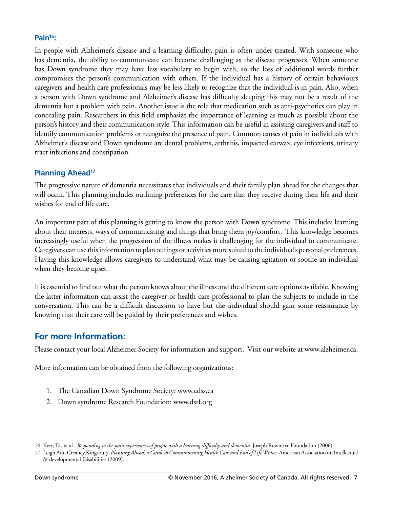#### **Pain16:**

In people with Alzheimer's disease and a learning difficulty, pain is often under-treated. With someone who has dementia, the ability to communicate can become challenging as the disease progresses. When someone has Down syndrome they may have less vocabulary to begin with, so the loss of additional words further compromises the person's communication with others. If the individual has a history of certain behaviours caregivers and health care professionals may be less likely to recognize that the individual is in pain. Also, when a person with Down syndrome and Alzheimer's disease has difficulty sleeping this may not be a result of the dementia but a problem with pain. Another issue is the role that medication such as anti-psychotics can play in concealing pain. Researchers in this field emphasize the importance of learning as much as possible about the person's history and their communication style. This information can be useful in assisting caregivers and staff to identify communication problems or recognize the presence of pain. Common causes of pain in individuals with Alzheimer's disease and Down syndrome are dental problems, arthritis, impacted earwax, eye infections, urinary tract infections and constipation.

#### **Planning Ahead<sup>17</sup>**

The progressive nature of dementia necessitates that individuals and their family plan ahead for the changes that will occur. This planning includes outlining preferences for the care that they receive during their life and their wishes for end of life care.

An important part of this planning is getting to know the person with Down syndrome. This includes learning about their interests, ways of communicating and things that bring them joy/comfort. This knowledge becomes increasingly useful when the progression of the illness makes it challenging for the individual to communicate. Caregivers can use this information to plan outings or activities more suited to the individual's personal preferences. Having this knowledge allows caregivers to understand what may be causing agitation or soothe an individual when they become upset.

It is essential to find out what the person knows about the illness and the different care options available. Knowing the latter information can assist the caregiver or health care professional to plan the subjects to include in the conversation. This can be a difficult discussion to have but the individual should gain some reassurance by knowing that their care will be guided by their preferences and wishes.

## **For more Information:**

Please contact your local Alzheimer Society for information and support. Visit our website at www.alzheimer.ca.

More information can be obtained from the following organizations:

- 1. The Canadian Down Syndrome Society: www.cdss.ca
- 2. Down syndrome Research Foundation: www.dsrf.org

<sup>16</sup> Kerr, D., et al., *Responding to the pain experiences of people with a learning difficulty and dementia.* Joseph Rowntree Foundation (2006).

<sup>17</sup> Leigh Ann Creaney Kingsbury, *Planning Ahead: a Guide to Communicating Health Care and End of Life Wishes.* American Association on Intellectual & developmental Disabilities (2009).